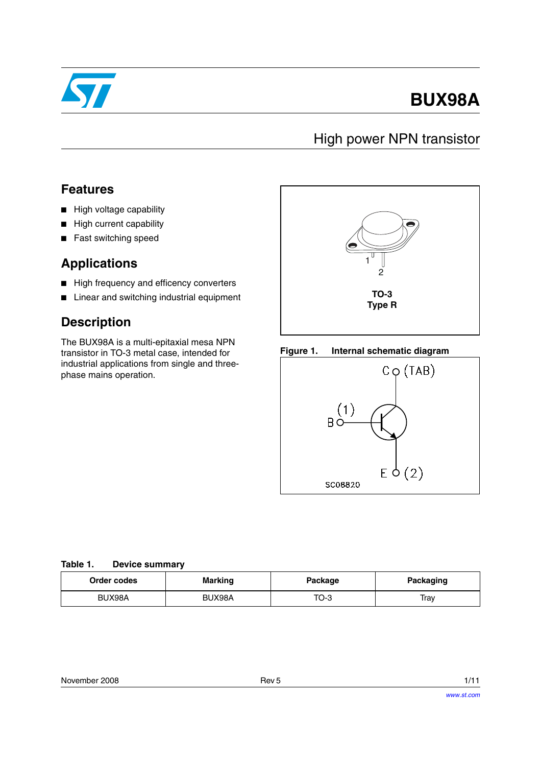

# **BUX98A**

## High power NPN transistor

#### **Features**

- High voltage capability
- High current capability
- Fast switching speed

#### **Applications**

- High frequency and efficency converters
- Linear and switching industrial equipment

### **Description**

The BUX98A is a multi-epitaxial mesa NPN transistor in TO-3 metal case, intended for industrial applications from single and threephase mains operation.



#### **Figure 1. Internal schematic diagram**



#### **Table 1. Device summary**

| Order codes | <b>Marking</b> | Package | <b>Packaging</b> |  |
|-------------|----------------|---------|------------------|--|
| BUX98A      | BUX98A         | TO-3    | Trav             |  |

| November 2008 | Rev <sub>5</sub> | 1/11 |
|---------------|------------------|------|
|               |                  |      |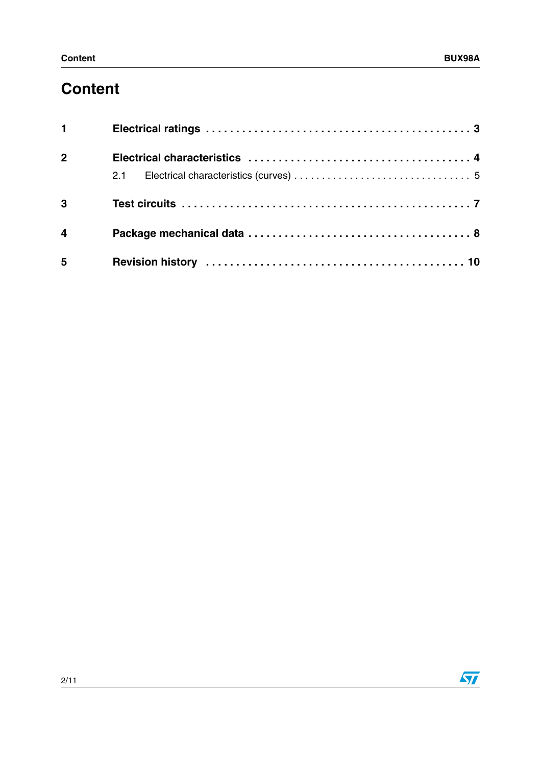## **Content**

| $1 \quad \Box$          |  |
|-------------------------|--|
| 2 <sup>1</sup>          |  |
|                         |  |
| $\overline{3}$          |  |
| $\overline{\mathbf{4}}$ |  |
| 5                       |  |

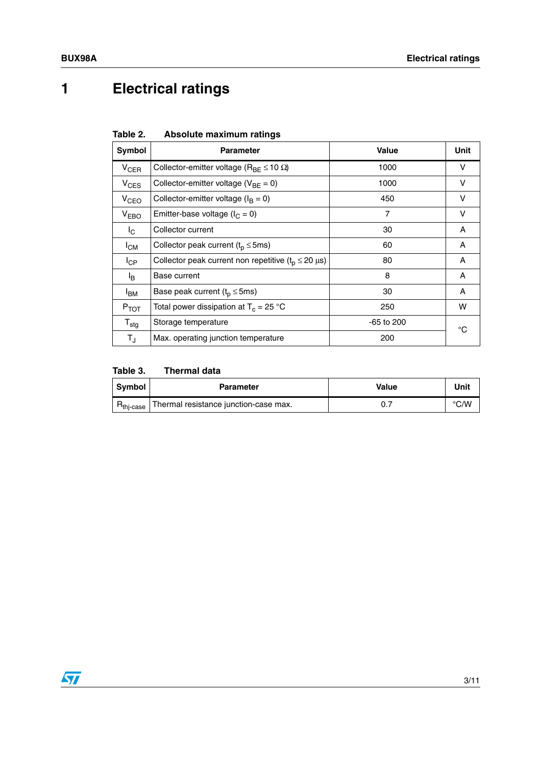# **1 Electrical ratings**

| Table 2. | Absolute maximum ratings |  |
|----------|--------------------------|--|
|          |                          |  |

| <b>Symbol</b>          | <b>Parameter</b>                                             | <b>Value</b>   | Unit       |
|------------------------|--------------------------------------------------------------|----------------|------------|
| <b>V<sub>CER</sub></b> | Collector-emitter voltage ( $R_{BF} \le 10 \Omega$ )         | 1000           | v          |
| $V_{CES}$              | Collector-emitter voltage ( $V_{BE} = 0$ )                   | 1000           | v          |
| V <sub>CEO</sub>       | Collector-emitter voltage ( $I_B = 0$ )                      | 450            | v          |
| V <sub>EBO</sub>       | Emitter-base voltage ( $I_C = 0$ )                           | $\overline{7}$ | $\vee$     |
| $I_{\rm C}$            | Collector current                                            | 30             | A          |
| $I_{CM}$               | Collector peak current ( $t_p \le 5$ ms)                     | 60             | A          |
| $I_{\text{CP}}$        | Collector peak current non repetitive $(t_0 \le 20 \,\mu s)$ | 80             | A          |
| l <sub>B</sub>         | Base current                                                 | 8              | A          |
| <sup>I</sup> BM        | Base peak current ( $t_p \le 5$ ms)                          | 30             | A          |
| $P_{TOT}$              | Total power dissipation at $T_c = 25$ °C                     | 250            | w          |
| $T_{\text{stg}}$       | $-65$ to 200<br>Storage temperature                          |                | $^{\circ}$ |
| $T_{\rm J}$            | Max. operating junction temperature                          | 200            |            |

#### **Table 3. Thermal data**

| Symbol                         | <b>Parameter</b>                      | Value | Unit          |
|--------------------------------|---------------------------------------|-------|---------------|
| $R_{\mathsf{thi}\text{-case}}$ | Thermal resistance junction-case max. |       | $\degree$ C/W |

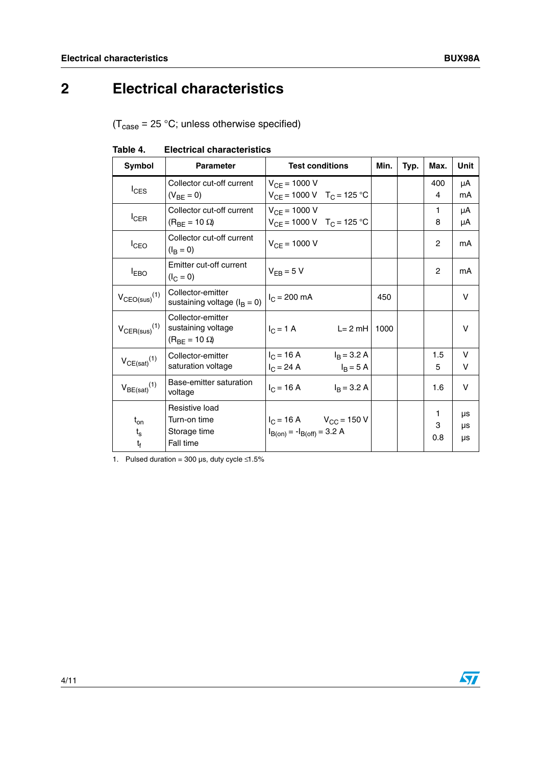## <span id="page-3-0"></span>**2 Electrical characteristics**

 $(T_{\text{case}} = 25 \text{ °C};$  unless otherwise specified)

|               | Table 4. | <b>Electrical characteristics</b> |                 |
|---------------|----------|-----------------------------------|-----------------|
| <b>Symbol</b> |          | <b>Parameter</b>                  | <b>Test cor</b> |

| <b>Symbol</b>                 | <b>Parameter</b><br><b>Test conditions</b>                              |                                                                    | Min. | Typ. | Max.           | <b>Unit</b>    |
|-------------------------------|-------------------------------------------------------------------------|--------------------------------------------------------------------|------|------|----------------|----------------|
| $I_{CES}$                     | Collector cut-off current<br>$(V_{BF} = 0)$                             | $V_{CF} = 1000 V$<br>$V_{CF}$ = 1000 V T <sub>C</sub> = 125 °C     |      |      | 400<br>4       | μA<br>mA       |
| $I_{CER}$                     | Collector cut-off current<br>$(R_{BE} = 10 \Omega)$                     | $V_{CF} = 1000 V$<br>$V_{CF}$ = 1000 V T <sub>C</sub> = 125 °C     |      |      | 1.<br>8        | μA<br>μA       |
| $I_{\text{CEO}}$              | Collector cut-off current<br>$(I_{\rm R} = 0)$                          | $V_{CF} = 1000 V$                                                  |      |      | 2              | mA             |
| <b>IEBO</b>                   | Emitter cut-off current<br>$(I_C = 0)$                                  | $V_{FB} = 5 V$                                                     |      |      | 2              | mA             |
| $V_{CEO(sus)}$ <sup>(1)</sup> | Collector-emitter<br>$I_C = 200$ mA<br>sustaining voltage ( $I_B = 0$ ) |                                                                    | 450  |      |                | V              |
| $V_{\text{CER(sus)}}^{(1)}$   | Collector-emitter<br>sustaining voltage<br>$(R_{BF} = 10 \Omega)$       | $I_C = 1 A$<br>$L = 2$ mH                                          |      |      |                | V              |
| $V_{CE(sat)}(1)$              | Collector-emitter<br>saturation voltage                                 | $I_C = 16 A$<br>$I_B = 3.2 A$<br>$I_C = 24 A$<br>$I_B = 5 A$       |      |      | 1.5<br>5       | V<br>V         |
| $V_{BE(sat)}(1)$              | Base-emitter saturation<br>voltage                                      | $I_B = 3.2 A$<br>$I_C = 16 A$                                      |      |      | 1.6            | V              |
| $t_{on}$<br>$t_{s}$<br>$t_f$  | Resistive load<br>Turn-on time<br>Storage time<br>Fall time             | $I_C = 16 A$ $V_{CC} = 150 V$<br>$I_{B(0n)} = -I_{B(off)} = 3.2 A$ |      |      | 1.<br>3<br>0.8 | μs<br>μs<br>μs |

1. Pulsed duration = 300  $\mu$ s, duty cycle ≤1.5%

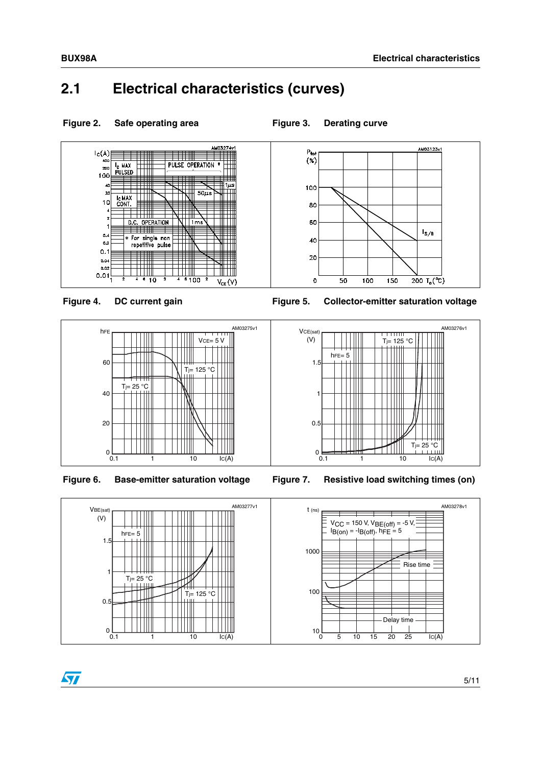## <span id="page-4-0"></span>**2.1 Electrical characteristics (curves)**

Figure 2. Safe operating area **Figure 3. Derating curve** 

#### AM03274v1 AM03123v1  $P_{\text{tot}}$ <br> $(\%)$  $\left| \begin{array}{c} C(A) \\ 400 \end{array} \right|$ PULSE OPERATION \*  $\overline{P_{\text{C}}$  MAX<br>PULSED  $\begin{array}{c} 200 \\ 100 \end{array}$ ╈  $1\mu$ s 100  $\searrow$  $\frac{1}{50\mu s}$  $\overline{2}$ W ٦III I<sub>C</sub> MAX<br>CONT.  $10$ 80 D.C. OPERATION  $\sqrt{\frac{1}{1}}$ 60  $I_{S/B}$  $0.4$ \* For single non 40  $0.2$  $\pm\pi$  $0.1$ T 20  $0.04$  $0.0$  $\frac{1}{4}$  6 10 <u> Hill</u> TITTII  $0.01$  $\frac{1}{6}100$ Ŧ 200  $T_c$  (°C)  $\mathbf 0$ 50 100 150  $V_{CE}(V)$







Figure 4. DC current gain **Figure 5. Collector-emitter saturation voltage** 

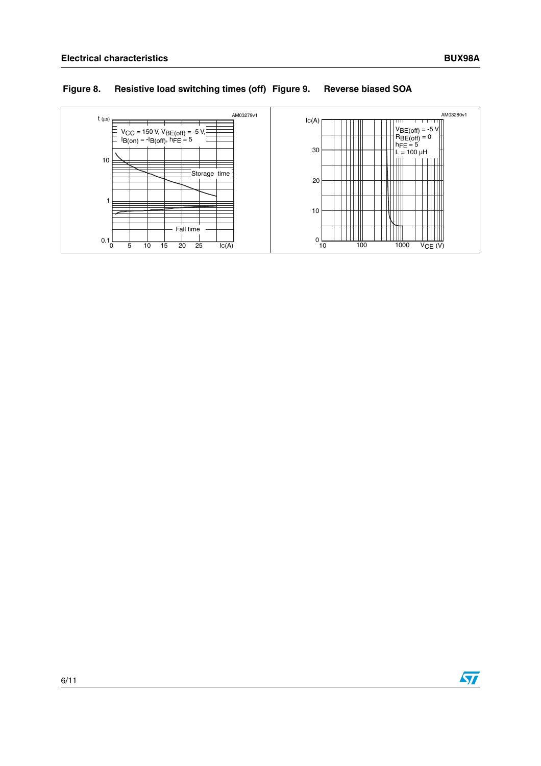#### **Figure 8. Resistive load switching times (off) Figure 9. Reverse biased SOA**



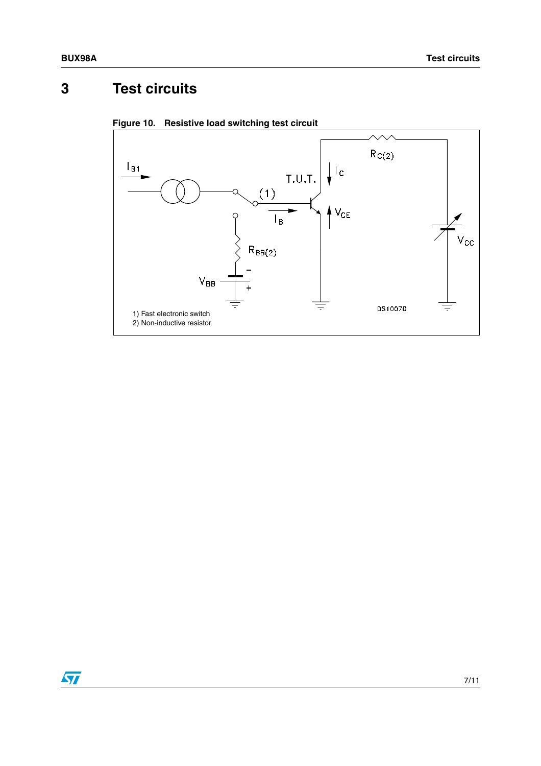## <span id="page-6-0"></span>**3 Test circuits**



**Figure 10. Resistive load switching test circuit**

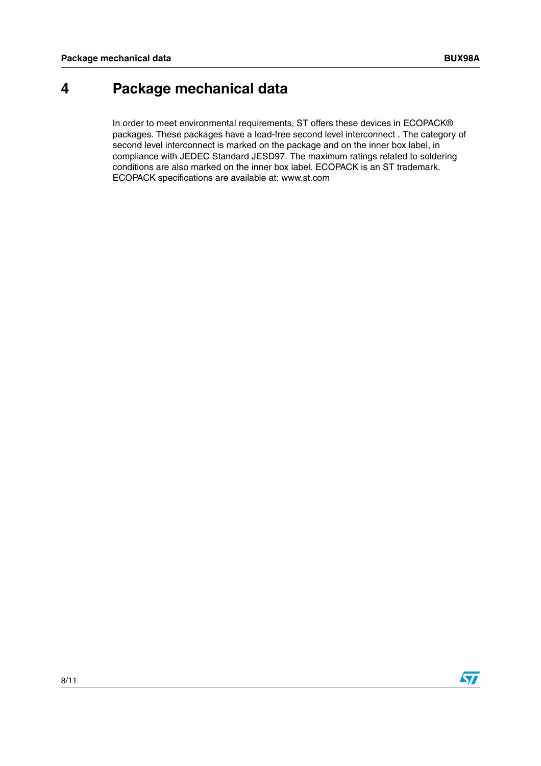### <span id="page-7-0"></span>**4 Package mechanical data**

In order to meet environmental requirements, ST offers these devices in ECOPACK® packages. These packages have a lead-free second level interconnect . The category of second level interconnect is marked on the package and on the inner box label, in compliance with JEDEC Standard JESD97. The maximum ratings related to soldering conditions are also marked on the inner box label. ECOPACK is an ST trademark. ECOPACK specifications are available at: www.st.com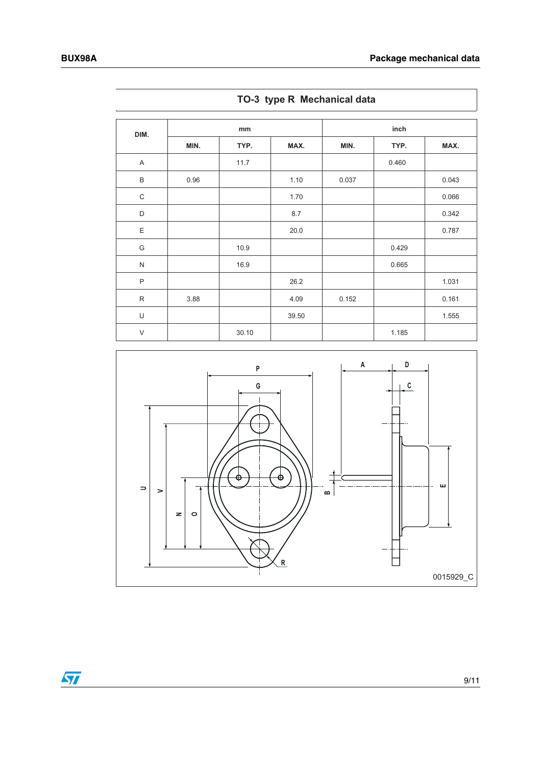$\overline{r}$ 

| DIM.         |      | mm    |       |       | inch  |       |
|--------------|------|-------|-------|-------|-------|-------|
|              | MIN. | TYP.  | MAX.  | MIN.  | TYP.  | MAX.  |
| A            |      | 11.7  |       |       | 0.460 |       |
| $\mathsf B$  | 0.96 |       | 1.10  | 0.037 |       | 0.043 |
| $\mathsf C$  |      |       | 1.70  |       |       | 0.066 |
| D            |      |       | 8.7   |       |       | 0.342 |
| E            |      |       | 20.0  |       |       | 0.787 |
| G            |      | 10.9  |       |       | 0.429 |       |
| ${\sf N}$    |      | 16.9  |       |       | 0.665 |       |
| $\mathsf{P}$ |      |       | 26.2  |       |       | 1.031 |
| $\mathsf{R}$ | 3.88 |       | 4.09  | 0.152 |       | 0.161 |
| U            |      |       | 39.50 |       |       | 1.555 |
| $\vee$       |      | 30.10 |       |       | 1.185 |       |

**TO-3 type R Mechanical data**



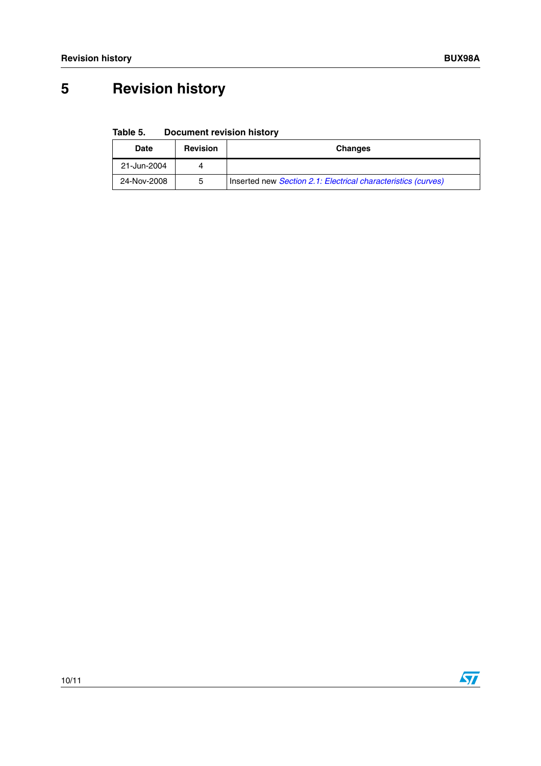# <span id="page-9-0"></span>**5 Revision history**

**Table 5. Document revision history**

| Date        | <b>Revision</b> | <b>Changes</b>                                                |
|-------------|-----------------|---------------------------------------------------------------|
| 21-Jun-2004 | 4               |                                                               |
| 24-Nov-2008 | 5               | Inserted new Section 2.1: Electrical characteristics (curves) |